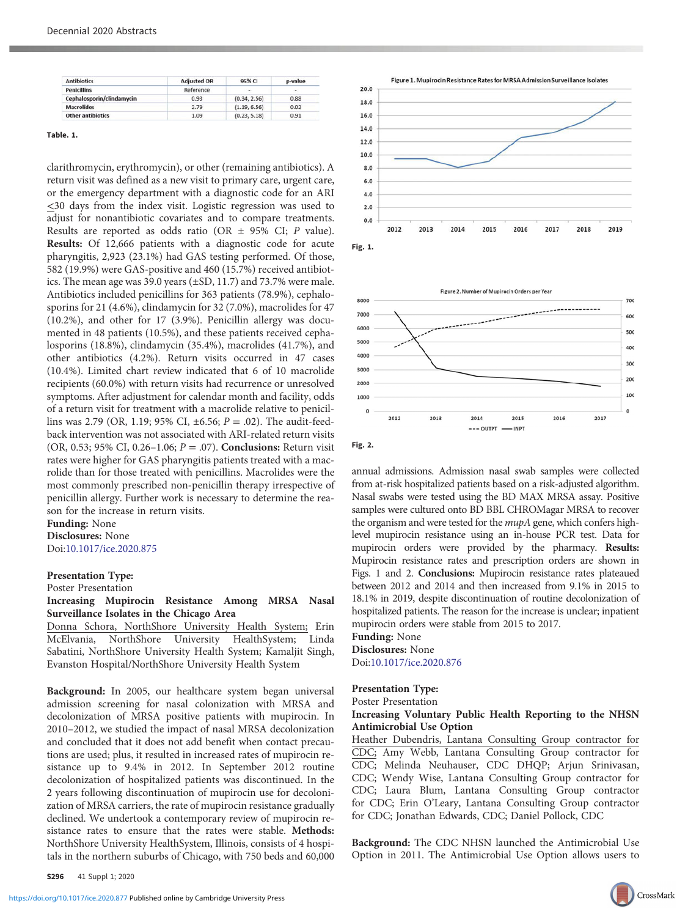| <b>Antibiotics</b>        | <b>Adjusted OR</b> | 95% CI       | p-value |
|---------------------------|--------------------|--------------|---------|
| <b>Penicillins</b>        | Reference          | and in       | $\sim$  |
| Cephalosporin/clindamycin | 0.93               | (0.34, 2.56) | 0.88    |
| <b>Macrolides</b>         | 2.79               | (1.19, 6.56) | 0.02    |
| <b>Other antibiotics</b>  | 1.09               | (0.23, 5.18) | 0.91    |

clarithromycin, erythromycin), or other (remaining antibiotics). A return visit was defined as a new visit to primary care, urgent care, or the emergency department with a diagnostic code for an ARI <30 days from the index visit. Logistic regression was used to adjust for nonantibiotic covariates and to compare treatments. Results are reported as odds ratio (OR ± 95% CI; P value). Results: Of 12,666 patients with a diagnostic code for acute pharyngitis, 2,923 (23.1%) had GAS testing performed. Of those, 582 (19.9%) were GAS-positive and 460 (15.7%) received antibiotics. The mean age was 39.0 years (±SD, 11.7) and 73.7% were male. Antibiotics included penicillins for 363 patients (78.9%), cephalosporins for 21 (4.6%), clindamycin for 32 (7.0%), macrolides for 47 (10.2%), and other for 17 (3.9%). Penicillin allergy was documented in 48 patients (10.5%), and these patients received cephalosporins (18.8%), clindamycin (35.4%), macrolides (41.7%), and other antibiotics (4.2%). Return visits occurred in 47 cases (10.4%). Limited chart review indicated that 6 of 10 macrolide recipients (60.0%) with return visits had recurrence or unresolved symptoms. After adjustment for calendar month and facility, odds of a return visit for treatment with a macrolide relative to penicillins was 2.79 (OR, 1.19; 95% CI,  $\pm 6.56$ ;  $P = .02$ ). The audit-feedback intervention was not associated with ARI-related return visits (OR, 0.53; 95% CI, 0.26–1.06;  $P = .07$ ). Conclusions: Return visit rates were higher for GAS pharyngitis patients treated with a macrolide than for those treated with penicillins. Macrolides were the most commonly prescribed non-penicillin therapy irrespective of penicillin allergy. Further work is necessary to determine the reason for the increase in return visits.

#### Funding: None Disclosures: None Doi:10.1017/ice.2020.875

#### Presentation Type:

Poster Presentation

# Increasing Mupirocin Resistance Among MRSA Nasal Surveillance Isolates in the Chicago Area

Donna Schora, NorthShore University Health System; Erin McElvania, NorthShore University HealthSystem; Linda Sabatini, NorthShore University Health System; Kamaljit Singh, Evanston Hospital/NorthShore University Health System

Background: In 2005, our healthcare system began universal admission screening for nasal colonization with MRSA and decolonization of MRSA positive patients with mupirocin. In 2010–2012, we studied the impact of nasal MRSA decolonization and concluded that it does not add benefit when contact precautions are used; plus, it resulted in increased rates of mupirocin resistance up to 9.4% in 2012. In September 2012 routine decolonization of hospitalized patients was discontinued. In the 2 years following discontinuation of mupirocin use for decolonization of MRSA carriers, the rate of mupirocin resistance gradually declined. We undertook a contemporary review of mupirocin resistance rates to ensure that the rates were stable. Methods: NorthShore University HealthSystem, Illinois, consists of 4 hospitals in the northern suburbs of Chicago, with 750 beds and 60,000





Fig. 2.

annual admissions. Admission nasal swab samples were collected from at-risk hospitalized patients based on a risk-adjusted algorithm. Nasal swabs were tested using the BD MAX MRSA assay. Positive samples were cultured onto BD BBL CHROMagar MRSA to recover the organism and were tested for the *mupA* gene, which confers highlevel mupirocin resistance using an in-house PCR test. Data for mupirocin orders were provided by the pharmacy. Results: Mupirocin resistance rates and prescription orders are shown in Figs. 1 and 2. Conclusions: Mupirocin resistance rates plateaued between 2012 and 2014 and then increased from 9.1% in 2015 to 18.1% in 2019, despite discontinuation of routine decolonization of hospitalized patients. The reason for the increase is unclear; inpatient mupirocin orders were stable from 2015 to 2017.

#### Funding: None Disclosures: None Doi:10.1017/ice.2020.876

## Presentation Type:

## Poster Presentation

#### Increasing Voluntary Public Health Reporting to the NHSN Antimicrobial Use Option

Heather Dubendris, Lantana Consulting Group contractor for CDC; Amy Webb, Lantana Consulting Group contractor for CDC; Melinda Neuhauser, CDC DHQP; Arjun Srinivasan, CDC; Wendy Wise, Lantana Consulting Group contractor for CDC; Laura Blum, Lantana Consulting Group contractor for CDC; Erin O'Leary, Lantana Consulting Group contractor for CDC; Jonathan Edwards, CDC; Daniel Pollock, CDC

Background: The CDC NHSN launched the Antimicrobial Use Option in 2011. The Antimicrobial Use Option allows users to